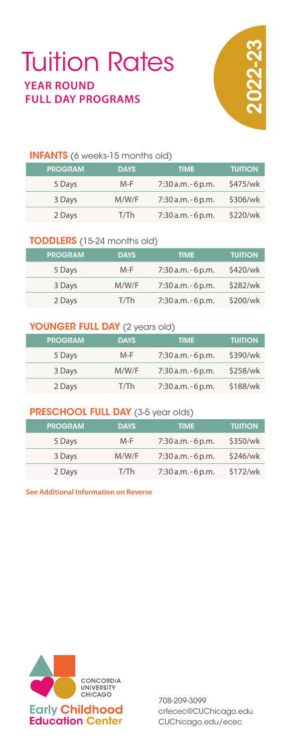## INFANTS (6 weeks-15 months old)

| <b>PROGRAM</b> | <b>DAYS</b> | <b>TIME</b>           | <b>TUITION</b> |
|----------------|-------------|-----------------------|----------------|
| 5 Days         | M-F         | $7:30$ a.m. $-6$ p.m. | \$475/wk       |
| 3 Days         | M/W/F       | $7:30$ a.m. $-6$ p.m. | \$306/wk       |
| 2 Days         | T/Th        | $7:30$ a.m. $-6$ p.m. | \$220/wk       |

# TODDLERS (15-24 months old)

| <b>PROGRAM</b> | <b>DAYS</b> | <b>TIME</b>           | <b>TUITION</b> |
|----------------|-------------|-----------------------|----------------|
| 5 Days         | $M-F$       | $7:30$ a.m. $-6$ p.m. | \$420/wk       |
| 3 Days         | M/W/F       | $7:30$ a.m. $-6$ p.m. | \$282/wk       |
| 2 Days         | T/Th        | $7:30$ a.m. $-6$ p.m. | \$200/wk       |

## YOUNGER FULL DAY (2 years old)

| <b>PROGRAM</b> | <b>DAYS</b> | <b>TIME</b>           | <b>TUITION</b> |
|----------------|-------------|-----------------------|----------------|
| 5 Days         | $M-F$       | 7:30 a.m. - 6 p.m.    | \$390/wk       |
| 3 Days         | M/W/F       | $7:30$ a.m. $-6$ p.m. | \$258/wk       |
| 2 Days         | T/Th        | $7:30$ a.m. $-6$ p.m. | \$188/wk       |

## PRESCHOOL FULL DAY (3-5 year olds)

| <b>PROGRAM</b> | <b>DAYS</b> | <b>TIME</b>           | <b>TUITION</b> |
|----------------|-------------|-----------------------|----------------|
| 5 Days         | M-F         | $7:30$ a.m. $-6$ p.m. | \$350/wk       |
| 3 Days         | M/W/F       | $7:30$ a.m. $-6$ p.m. | \$246/wk       |
| 2 Days         | T/Th        | $7:30$ a.m. $-6$ p.m. | \$172/wk       |

**See Additional Information on Reverse**